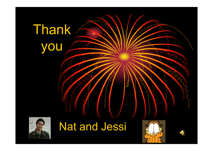## Thank you



## Nat and Jessi



POOL



R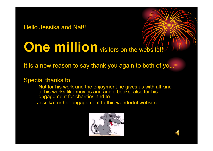Hello Jessika and Nat!!

## **One million** visitors on the website

It is a new reason to say thank you again to both of you.

Special thanks to

Nat for his work and the enjoyment he gives us with all kind of his works like movies and audio books, also for his engagement for charities and to

Jessika for her engagement to t his wonderful website.



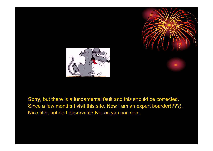



Sorry, but there is a fundamental fault and this should be corrected. Since a few months I visit this site. Now I am an expert boarder(???). Nice title, but do I deserve it? No, as you can see..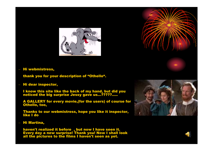



thank you for your description of "Othello".

– Hi dear inspector,

I know this site like the back of my hand, but did you noticed the big surprise Jessy gave us...?????.....

A GALLERY for every movie,(for the users) of course for Othello, too,

Thanks to our webmistress, hope you like it inspector, like I do

Hi Martina,

haven't realized it before , but now I have seen it. Every day a new surprise! Thank you! Now I shall look all the pictures to the films I haven't seen as yet.



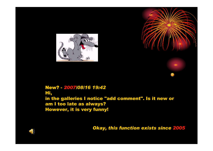



*Okay, this function exists since 2005*

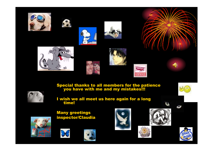













Special thanks to all members for the patience you have with me and my mistakes!!!



I wish we all meet us here again for a long time!

Many greetings inspector/Claudia

















 $\blacklozenge$